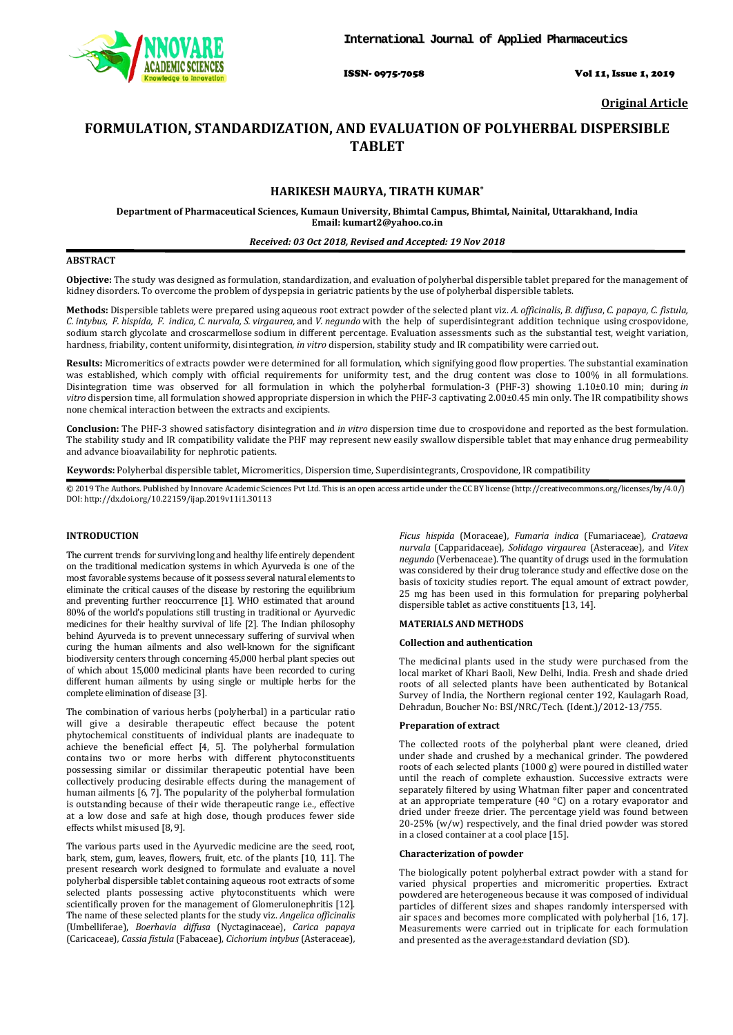

ISSN- 0975-7058 Vol 11, Issue 1, 2019

**Original Article**

# **FORMULATION, STANDARDIZATION, AND EVALUATION OF POLYHERBAL DISPERSIBLE TABLET**

# **HARIKESH MAURYA, TIRATH KUMAR \***

**Department of Pharmaceutical Sciences, Kumaun University, Bhimtal Campus, Bhimtal, Nainital, Uttarakhand, India Email: kumart2@yahoo.co.in**

### *Received: 03 Oct 2018, Revised and Accepted: 19 Nov 2018*

### **ABSTRACT**

**Objective:** The study was designed as formulation, standardization, and evaluation of polyherbal dispersible tablet prepared for the management of kidney disorders. To overcome the problem of dyspepsia in geriatric patients by the use of polyherbal dispersible tablets.

**Methods:** Dispersible tablets were prepared using aqueous root extract powder of the selected plant viz. *A. officinalis*, *B. diffusa*, *C. papaya, C. fistula,* C. intybus, F. hispida, F. indica, C. nurvala, S. virgaurea, and V. negundo with the help of superdisintegrant addition technique using crospovidone, sodium starch glycolate and croscarmellose sodium in different percentage. Evaluation assessments such as the substantial test, weight variation, hardness, friability, content uniformity, disintegration, *in vitro* dispersion, stability study and IR compatibility were carried out.

**Results:** Micromeritics of extracts powder were determined for all formulation, which signifying good flow properties. The substantial examination was established, which comply with official requirements for uniformity test, and the drug content was close to 100% in all formulations. Disintegration time was observed for all formulation in which the polyherbal formulation-3 (PHF-3) showing 1.10±0.10 min; during *in vitro* dispersion time, all formulation showed appropriate dispersion in which the PHF-3 captivating 2.00±0.45 min only. The IR compatibility shows none chemical interaction between the extracts and excipients.

**Conclusion:** The PHF-3 showed satisfactory disintegration and *in vitro* dispersion time due to crospovidone and reported as the best formulation. The stability study and IR compatibility validate the PHF may represent new easily swallow dispersible tablet that may enhance drug permeability and advance bioavailability for nephrotic patients.

**Keywords:** Polyherbal dispersible tablet, Micromeritics, Dispersion time, Superdisintegrants, Crospovidone, IR compatibility

© 2019 The Authors. Published by Innovare Academic Sciences Pvt Ltd. This is an open access article under the CC BY license [\(http://creativecommons.org/licenses/by/4.0/\)](http://creativecommons.org/licenses/by/4.0/) DOI: http://dx.doi.org/10.22159/ijap.2019v11i1.30113

# **INTRODUCTION**

The current trends for surviving long and healthy life entirely dependent on the traditional medication systems in which Ayurveda is one of the most favorable systems because of it possess several natural elements to eliminate the critical causes of the disease by restoring the equilibrium and preventing further reoccurrence [1]. WHO estimated that around 80% of the world's populations still trusting in traditional or Ayurvedic medicines for their healthy survival of life [2]. The Indian philosophy behind Ayurveda is to prevent unnecessary suffering of survival when curing the human ailments and also well-known for the significant biodiversity centers through concerning 45,000 herbal plant species out of which about 15,000 medicinal plants have been recorded to curing different human ailments by using single or multiple herbs for the complete elimination of disease [3].

The combination of various herbs (polyherbal) in a particular ratio will give a desirable therapeutic effect because the potent phytochemical constituents of individual plants are inadequate to achieve the beneficial effect [4, 5]. The polyherbal formulation contains two or more herbs with different phytoconstituents possessing similar or dissimilar therapeutic potential have been collectively producing desirable effects during the management of human ailments [6, 7]. The popularity of the polyherbal formulation is outstanding because of their wide therapeutic range i.e., effective at a low dose and safe at high dose, though produces fewer side effects whilst misused [8, 9].

The various parts used in the Ayurvedic medicine are the seed, root, bark, stem, gum, leaves, flowers, fruit, etc. of the plants [10, 11]. The present research work designed to formulate and evaluate a novel polyherbal dispersible tablet containing aqueous root extracts of some selected plants possessing active phytoconstituents which were scientifically proven for the management of Glomerulonephritis [12]. The name of these selected plants for the study viz. *Angelica officinalis*  (Umbelliferae), *Boerhavia diffusa* (Nyctaginaceae), *Carica papaya*  (Caricaceae)*, Cassia fistula* (Fabaceae)*, Cichorium intybus* (Asteraceae)*,* 

*Ficus hispida* (Moraceae)*, Fumaria indica* (Fumariaceae )*, Crataeva nurvala* (Capparidaceae)*, Solidago virgaurea* (Asteraceae)*,* and *Vitex negundo* (Verbenaceae). The quantity of drugs used in the formulation was considered by their drug tolerance study and effective dose on the basis of toxicity studies report. The equal amount of extract powder, 25 mg has been used in this formulation for preparing polyherbal dispersible tablet as active constituents [13, 14].

# **MATERIALS AND METHODS**

### **Collection and authentication**

The medicinal plants used in the study were purchased from the local market of Khari Baoli, New Delhi, India. Fresh and shade dried roots of all selected plants have been authenticated by Botanical Survey of India, the Northern regional center 192, Kaulagarh Road, Dehradun, Boucher No: BSI/NRC/Tech. (Ident.)/2012-13/755.

#### **Preparation of extract**

The collected roots of the polyherbal plant were cleaned, dried under shade and crushed by a mechanical grinder. The powdered roots of each selected plants (1000 g) were poured in distilled water until the reach of complete exhaustion. Successive extracts were separately filtered by using Whatman filter paper and concentrated at an appropriate temperature (40 °C) on a rotary evaporator and dried under freeze drier. The percentage yield was found between 20-25% (w/w) respectively, and the final dried powder was stored in a closed container at a cool place [15].

#### **Characterization of powder**

The biologically potent polyherbal extract powder with a stand for varied physical properties and micromeritic properties. Extract powdered are heterogeneous because it was composed of individual particles of different sizes and shapes randomly interspersed with air spaces and becomes more complicated with polyherbal [16, 17]. Measurements were carried out in triplicate for each formulation and presented as the average±standard deviation (SD).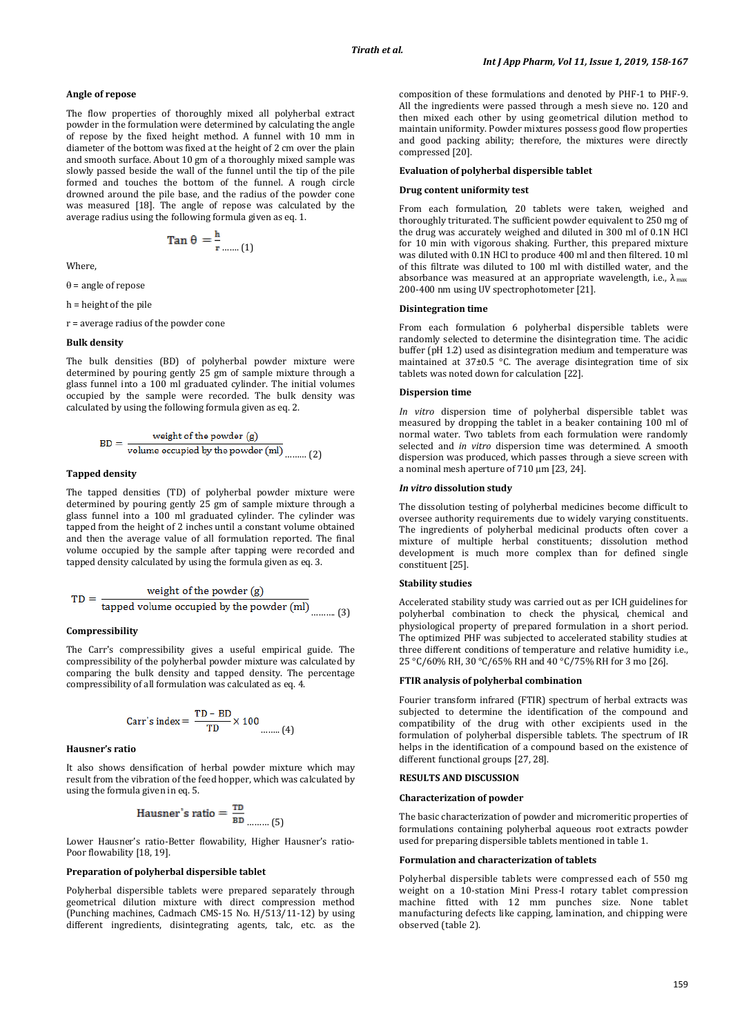### **Angle of repose**

The flow properties of thoroughly mixed all polyherbal extract powder in the formulation were determined by calculating the angle of repose by the fixed height method. A funnel with 10 mm in diameter of the bottom was fixed at the height of 2 cm over the plain and smooth surface. About 10 gm of a thoroughly mixed sample was slowly passed beside the wall of the funnel until the tip of the pile formed and touches the bottom of the funnel. A rough circle drowned around the pile base, and the radius of the powder cone was measured [18]. The angle of repose was calculated by the average radius using the following formula given as eq. 1.

$$
\operatorname{Tan}\theta=\frac{\mathbf{h}}{\mathbf{r}}_{\text{num}}(1)
$$

Where,

θ = angle of repose

h = height of the pile

r = average radius of the powder cone

#### **Bulk density**

The bulk densities (BD) of polyherbal powder mixture were determined by pouring gently 25 gm of sample mixture through a glass funnel into a 100 ml graduated cylinder. The initial volumes occupied by the sample were recorded. The bulk density was calculated by using the following formula given as eq. 2.

$$
BD = \frac{\text{weight of the powder (g)}}{\text{volume occupied by the powder (ml)} \dots (2)}
$$

### **Tapped density**

The tapped densities (TD) of polyherbal powder mixture were determined by pouring gently 25 gm of sample mixture through a glass funnel into a 100 ml graduated cylinder. The cylinder was tapped from the height of 2 inches until a constant volume obtained and then the average value of all formulation reported. The final volume occupied by the sample after tapping were recorded and tapped density calculated by using the formula given as eq. 3.

$$
TD = \frac{\text{weight of the powder (g)}}{\text{tapped volume occupied by the powder (ml)}}_{\dots \dots \dots (3)}
$$

#### **Compressibility**

The Carr's compressibility gives a useful empirical guide. The compressibility of the polyherbal powder mixture was calculated by comparing the bulk density and tapped density. The percentage compressibility of all formulation was calculated as eq. 4.

Carr's index = 
$$
\frac{TD - BD}{TD} \times 100
$$
........(4)

#### **Hausner's ratio**

It also shows densification of herbal powder mixture which may result from the vibration of the feed hopper, which was calculated by using the formula given in eq. 5.

$$
Iausner's ratio = \frac{TD}{BD}
$$
........(5)

Lower Hausner's ratio-Better flowability, Higher Hausner's ratio-Poor flowability [18, 19].

### **Preparation of polyherbal dispersible tablet**

F

Polyherbal dispersible tablets were prepared separately through geometrical dilution mixture with direct compression method (Punching machines, Cadmach CMS-15 No. H/513/11-12) by using different ingredients, disintegrating agents, talc, etc. as the

composition of these formulations and denoted by PHF-1 to PHF-9. All the ingredients were passed through a mesh sieve no. 120 and then mixed each other by using geometrical dilution method to maintain uniformity. Powder mixtures possess good flow properties and good packing ability; therefore, the mixtures were directly compressed [20].

### **Evaluation of polyherbal dispersible tablet**

#### **Drug content uniformity test**

From each formulation, 20 tablets were taken, weighed and thoroughly triturated. The sufficient powder equivalent to 250 mg of the drug was accurately weighed and diluted in 300 ml of 0.1N HCl for 10 min with vigorous shaking. Further, this prepared mixture was diluted with 0.1N HCl to produce 400 ml and then filtered. 10 ml of this filtrate was diluted to 100 ml with distilled water, and the absorbance was measured at an appropriate wavelength, i.e.,  $\lambda_{\text{max}}$ 200-400 nm using UV spectrophotometer [21].

#### **Disintegration time**

From each formulation 6 polyherbal dispersible tablets were randomly selected to determine the disintegration time. The acidic buffer (pH 1.2) used as disintegration medium and temperature was maintained at 37±0.5 °C. The average disintegration time of six tablets was noted down for calculation [22].

#### **Dispersion time**

*In vitro* dispersion time of polyherbal dispersible tablet was measured by dropping the tablet in a beaker containing 100 ml of normal water. Two tablets from each formulation were randomly selected and *in vitro* dispersion time was determined. A smooth dispersion was produced, which passes through a sieve screen with a nominal mesh aperture of 710 um [23, 24].

#### *In vitro* **dissolution study**

The dissolution testing of polyherbal medicines become difficult to oversee authority requirements due to widely varying constituents. The ingredients of polyherbal medicinal products often cover a mixture of multiple herbal constituents; dissolution method development is much more complex than for defined single constituent [25].

# **Stability studies**

Accelerated stability study was carried out as per ICH guidelines for polyherbal combination to check the physical, chemical and physiological property of prepared formulation in a short period. The optimized PHF was subjected to accelerated stability studies at three different conditions of temperature and relative humidity i.e., 25 °C/60% RH, 30 °C/65% RH and 40 °C/75% RH for 3 mo [26].

# **FTIR analysis of polyherbal combination**

Fourier transform infrared (FTIR) spectrum of herbal extracts was subjected to determine the identification of the compound and compatibility of the drug with other excipients used in the formulation of polyherbal dispersible tablets. The spectrum of IR helps in the identification of a compound based on the existence of different functional groups [27, 28].

#### **RESULTS AND DISCUSSION**

#### **Characterization of powder**

The basic characterization of powder and micromeritic properties of formulations containing polyherbal aqueous root extracts powder used for preparing dispersible tablets mentioned in table 1.

### **Formulation and characterization of tablets**

Polyherbal dispersible tablets were compressed each of 550 mg weight on a 10-station Mini Press-I rotary tablet compression machine fitted with 12 mm punches size. None tablet manufacturing defects like capping, lamination, and chipping were observed (table 2).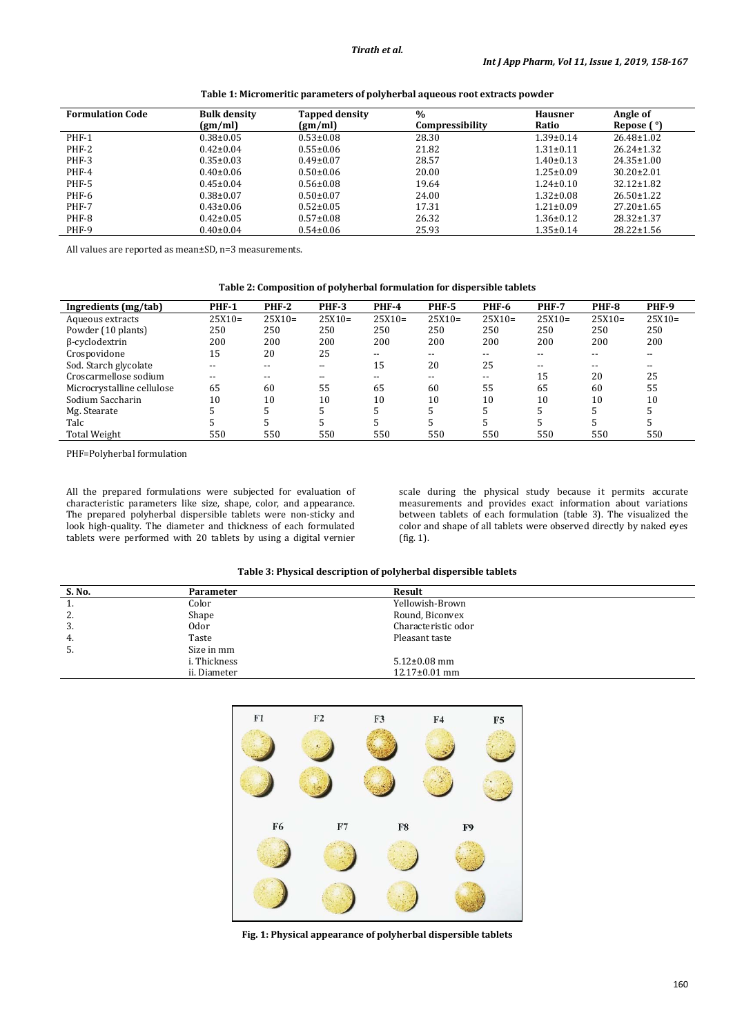| <b>Formulation Code</b> | <b>Bulk density</b> | <b>Tapped density</b> | $\%$            | <b>Hausner</b>  | Angle of         |
|-------------------------|---------------------|-----------------------|-----------------|-----------------|------------------|
|                         | (gm/ml)             | (gm/ml)               | Compressibility | Ratio           | Repose ( °)      |
| PHF-1                   | $0.38 \pm 0.05$     | $0.53 \pm 0.08$       | 28.30           | $1.39 \pm 0.14$ | $26.48 \pm 1.02$ |
| PHF-2                   | $0.42 \pm 0.04$     | $0.55 \pm 0.06$       | 21.82           | $1.31 \pm 0.11$ | $26.24 \pm 1.32$ |
| PHF-3                   | $0.35 \pm 0.03$     | $0.49 \pm 0.07$       | 28.57           | $1.40 \pm 0.13$ | $24.35 \pm 1.00$ |
| PHF-4                   | $0.40\pm0.06$       | $0.50 \pm 0.06$       | 20.00           | $1.25 \pm 0.09$ | $30.20 \pm 2.01$ |
| PHF-5                   | $0.45 \pm 0.04$     | $0.56 \pm 0.08$       | 19.64           | $1.24 \pm 0.10$ | $32.12 \pm 1.82$ |
| PHF-6                   | $0.38 \pm 0.07$     | $0.50 \pm 0.07$       | 24.00           | $1.32 \pm 0.08$ | $26.50 \pm 1.22$ |
| PHF-7                   | $0.43 \pm 0.06$     | $0.52 \pm 0.05$       | 17.31           | $1.21 \pm 0.09$ | $27.20 \pm 1.65$ |
| PHF-8                   | $0.42 \pm 0.05$     | $0.57 \pm 0.08$       | 26.32           | $1.36 \pm 0.12$ | $28.32 \pm 1.37$ |
| PHF-9                   | $0.40 \pm 0.04$     | $0.54 \pm 0.06$       | 25.93           | $1.35 \pm 0.14$ | $28.22 \pm 1.56$ |

**Table 1: Micromeritic parameters of polyherbal aqueous root extracts powder**

All values are reported as mean±SD, n=3 measurements.

## **Table 2: Composition of polyherbal formulation for dispersible tablets**

| Ingredients (mg/tab)       | <b>PHF-1</b> | <b>PHF-2</b> | <b>PHF-3</b> | <b>PHF-4</b> | <b>PHF-5</b> | <b>PHF-6</b> | <b>PHF-7</b> | <b>PHF-8</b> | <b>PHF-9</b> |
|----------------------------|--------------|--------------|--------------|--------------|--------------|--------------|--------------|--------------|--------------|
| Aqueous extracts           | $25X10=$     | $25X10=$     | $25X10=$     | $25X10=$     | $25X10=$     | $25X10=$     | $25X10=$     | $25X10=$     | $25X10=$     |
| Powder (10 plants)         | 250          | 250          | 250          | 250          | 250          | 250          | 250          | 250          | 250          |
| β-cyclodextrin             | 200          | 200          | 200          | 200          | 200          | 200          | 200          | 200          | 200          |
| Crospovidone               | 15           | 20           | 25           | --           | --           | $- -$        | $- -$        | $- -$        | --           |
| Sod. Starch glycolate      | $- -$        | $- -$        | $- -$        | 15           | 20           | 25           | $- -$        | $- -$        | --           |
| Croscarmellose sodium      | --           | $- -$        | --           | --           | --           | $- -$        | 15           | 20           | 25           |
| Microcrystalline cellulose | 65           | 60           | 55           | 65           | 60           | 55           | 65           | 60           | 55           |
| Sodium Saccharin           | 10           | 10           | 10           | 10           | 10           | 10           | 10           | 10           | 10           |
| Mg. Stearate               |              |              |              |              |              |              |              |              |              |
| Talc                       |              |              |              |              |              |              |              |              |              |
| <b>Total Weight</b>        | 550          | 550          | 550          | 550          | 550          | 550          | 550          | 550          | 550          |

PHF=Polyherbal formulation

All the prepared formulations were subjected for evaluation of characteristic parameters like size, shape, color, and appearance. The prepared polyherbal dispersible tablets were non-sticky and look high-quality. The diameter and thickness of each formulated tablets were performed with 20 tablets by using a digital vernier scale during the physical study because it permits accurate measurements and provides exact information about variations between tablets of each formulation (table 3). The visualized the color and shape of all tablets were observed directly by naked eyes (fig. 1).

# **Table 3: Physical description of polyherbal dispersible tablets**

| S. No. | Parameter    | Result              |  |
|--------|--------------|---------------------|--|
| . .    | Color        | Yellowish-Brown     |  |
| 2.     | Shape        | Round, Biconvex     |  |
| 3.     | 0dor         | Characteristic odor |  |
| -4.    | Taste        | Pleasant taste      |  |
| 5.     | Size in mm   |                     |  |
|        | i. Thickness | $5.12 \pm 0.08$ mm  |  |
|        | ii. Diameter | $12.17\pm0.01$ mm   |  |



**Fig. 1: Physical appearance of polyherbal dispersible tablets**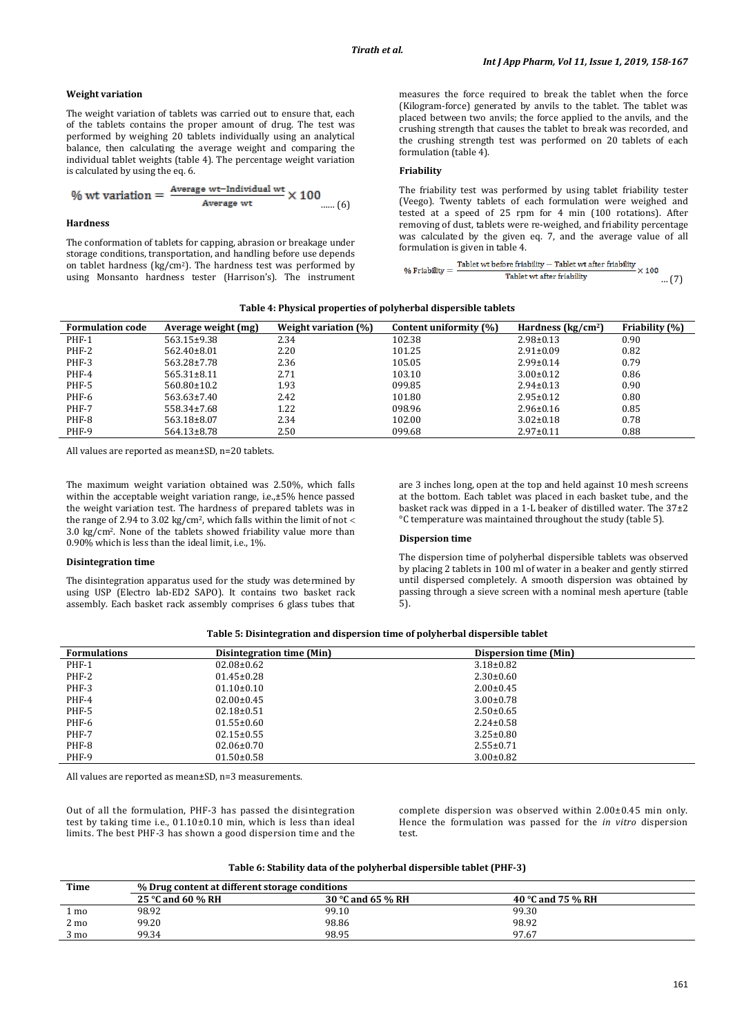### **Weight variation**

The weight variation of tablets was carried out to ensure that, each of the tablets contains the proper amount of drug. The test was performed by weighing 20 tablets individually using an analytical balance, then calculating the average weight and comparing the individual tablet weights (table 4). The percentage weight variation is calculated by using the eq. 6.

$$
\% \text{ wt variation} = \frac{\text{Average wt-Individual wt}}{\text{Average wt}} \times 100 \quad \dots (6)
$$

### **Hardness**

The conformation of tablets for capping, abrasion or breakage under storage conditions, transportation, and handling before use depends on tablet hardness (kg/cm2 ). The hardness test was performed by using Monsanto hardness tester (Harrison's). The instrument

measures the force required to break the tablet when the force (Kilogram-force) generated by anvils to the tablet. The tablet was placed between two anvils; the force applied to the anvils, and the crushing strength that causes the tablet to break was recorded, and the crushing strength test was performed on 20 tablets of each formulation (table 4).

# **Friability**

The friability test was performed by using tablet friability tester (Veego). Twenty tablets of each formulation were weighed and tested at a speed of 25 rpm for 4 min (100 rotations). After removing of dust, tablets were re-weighed, and friability percentage was calculated by the given eq. 7, and the average value of all

```
formulation is given in table 4.<br>\sim \frac{\text{Table 1:} \times \text{Table 2:} \times \text{Table 3:} \times \text{Table 4:}}{\text{Table 4:} \times \text{Table 4:} \times \text{Table 5:}} \times 100% Friability =Tablet wt after friability
                                                                                                                                                             … (7)
```
#### **Table 4: Physical properties of polyherbal dispersible tablets**

| <b>Formulation code</b> | Average weight (mg) | Weight variation (%) | Content uniformity (%) | Hardness $(kg/cm2)$ | <b>Friability (%)</b> |
|-------------------------|---------------------|----------------------|------------------------|---------------------|-----------------------|
| PHF-1                   | $563.15 \pm 9.38$   | 2.34                 | 102.38                 | $2.98 \pm 0.13$     | 0.90                  |
| PHF-2                   | $562.40\pm8.01$     | 2.20                 | 101.25                 | $2.91 \pm 0.09$     | 0.82                  |
| PHF-3                   | $563.28 \pm 7.78$   | 2.36                 | 105.05                 | $2.99 \pm 0.14$     | 0.79                  |
| PHF-4                   | $565.31 \pm 8.11$   | 2.71                 | 103.10                 | $3.00 \pm 0.12$     | 0.86                  |
| PHF-5                   | $560.80 \pm 10.2$   | 1.93                 | 099.85                 | $2.94 \pm 0.13$     | 0.90                  |
| PHF-6                   | $563.63 \pm 7.40$   | 2.42                 | 101.80                 | $2.95 \pm 0.12$     | 0.80                  |
| PHF-7                   | 558.34±7.68         | 1.22                 | 098.96                 | $2.96 \pm 0.16$     | 0.85                  |
| PHF-8                   | 563.18±8.07         | 2.34                 | 102.00                 | $3.02 \pm 0.18$     | 0.78                  |
| PHF-9                   | $564.13 \pm 8.78$   | 2.50                 | 099.68                 | $2.97 \pm 0.11$     | 0.88                  |

All values are reported as mean±SD, n=20 tablets.

The maximum weight variation obtained was 2.50%, which falls within the acceptable weight variation range, i.e.,±5% hence passed the weight variation test. The hardness of prepared tablets was in the range of 2.94 to 3.02 kg/cm<sup>2</sup>, which falls within the limit of not < 3.0 kg/cm2 . None of the tablets showed friability value more than 0.90% which is less than the ideal limit, i.e., 1%.

### **Disintegration time**

The disintegration apparatus used for the study was determined by using USP (Electro lab-ED2 SAPO). It contains two basket rack assembly. Each basket rack assembly comprises 6 glass tubes that are 3 inches long, open at the top and held against 10 mesh screens at the bottom. Each tablet was placed in each basket tube, and the basket rack was dipped in a 1-L beaker of distilled water. The 37±2 °C temperature was maintained throughout the study (table 5).

### **Dispersion time**

The dispersion time of polyherbal dispersible tablets was observed by placing 2 tablets in 100 ml of water in a beaker and gently stirred until dispersed completely. A smooth dispersion was obtained by passing through a sieve screen with a nominal mesh aperture (table 5).

|  |  | Table 5: Disintegration and dispersion time of polyherbal dispersible tablet |  |
|--|--|------------------------------------------------------------------------------|--|
|--|--|------------------------------------------------------------------------------|--|

| <b>Formulations</b> | Disintegration time (Min) | Dispersion time (Min) |
|---------------------|---------------------------|-----------------------|
| PHF-1               | $02.08 \pm 0.62$          | $3.18 \pm 0.82$       |
| PHF-2               | $01.45 \pm 0.28$          | $2.30 \pm 0.60$       |
| PHF-3               | $01.10 \pm 0.10$          | $2.00 \pm 0.45$       |
| PHF-4               | $02.00 \pm 0.45$          | $3.00 \pm 0.78$       |
| PHF-5               | $02.18 \pm 0.51$          | $2.50 \pm 0.65$       |
| PHF-6               | $01.55 \pm 0.60$          | $2.24 \pm 0.58$       |
| PHF-7               | $02.15 \pm 0.55$          | $3.25 \pm 0.80$       |
| PHF-8               | $02.06 \pm 0.70$          | $2.55 \pm 0.71$       |
| PHF-9               | $01.50 \pm 0.58$          | $3.00 \pm 0.82$       |

All values are reported as mean±SD, n=3 measurements.

Out of all the formulation, PHF-3 has passed the disintegration test by taking time i.e., 01.10±0.10 min, which is less than ideal limits. The best PHF-3 has shown a good dispersion time and the

complete dispersion was observed within 2.00±0.45 min only. Hence the formulation was passed for the *in vitro* dispersion test.

### **Table 6: Stability data of the polyherbal dispersible tablet (PHF-3)**

| Time           | % Drug content at different storage conditions |                   |                   |  |  |
|----------------|------------------------------------------------|-------------------|-------------------|--|--|
|                | 25 °C and 60 % RH                              | 30 °C and 65 % RH | 40 °C and 75 % RH |  |  |
| mo             | 98.92                                          | 99.10             | 99.30             |  |  |
| $2 \text{ mo}$ | 99.20                                          | 98.86             | 98.92             |  |  |
| $3 \text{ mo}$ | 99.34                                          | 98.95             | 97.67             |  |  |
|                |                                                |                   |                   |  |  |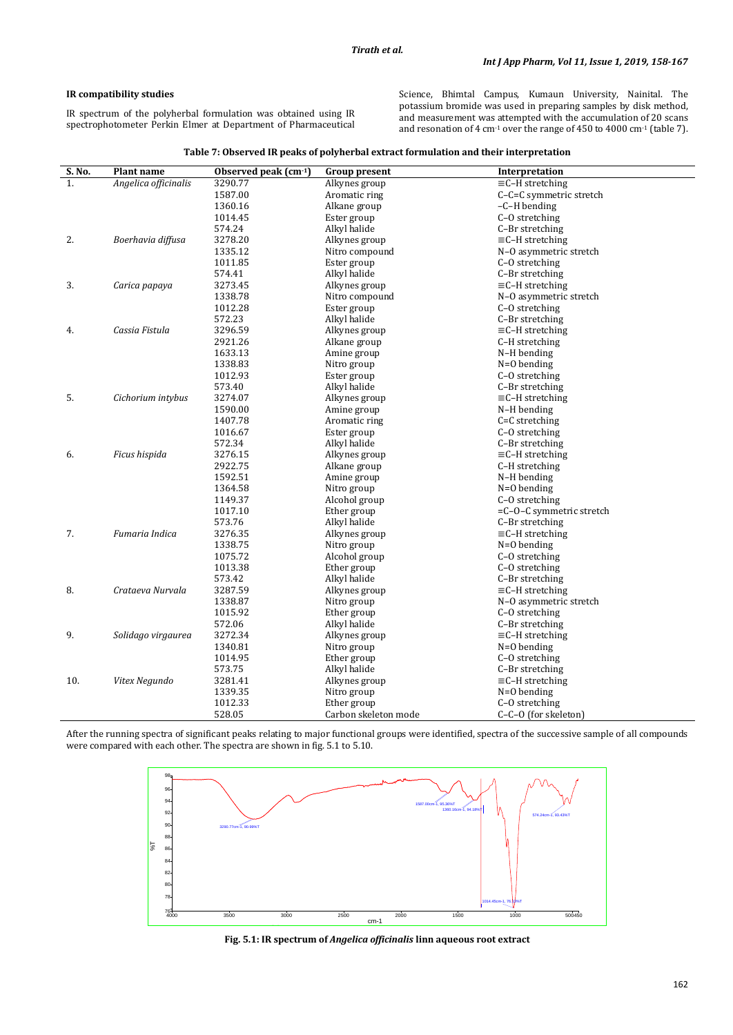# **IR compatibility studies**

IR spectrum of the polyherbal formulation was obtained using IR spectrophotometer Perkin Elmer at Department of Pharmaceutical Science, Bhimtal Campus, Kumaun University, Nainital. The potassium bromide was used in preparing samples by disk method, and measurement was attempted with the accumulation of 20 scans and resonation of 4 cm<sup>-1</sup> over the range of 450 to 4000 cm<sup>-1</sup> (table 7).

| S. No. | <b>Plant name</b>    | Observed peak (cm <sup>-1</sup> ) | <b>Group present</b> | Interpretation                             |
|--------|----------------------|-----------------------------------|----------------------|--------------------------------------------|
| 1.     | Angelica officinalis | 3290.77                           | Alkynes group        | $\equiv$ C-H stretching                    |
|        |                      | 1587.00                           | Aromatic ring        | C-C=C symmetric stretch                    |
|        |                      | 1360.16                           | Alkane group         | $-C-H$ bending                             |
|        |                      | 1014.45                           | Ester group          | C-O stretching                             |
|        |                      | 574.24                            | Alkyl halide         | C-Br stretching                            |
| 2.     | Boerhavia diffusa    | 3278.20                           | Alkynes group        | $\equiv$ C-H stretching                    |
|        |                      | 1335.12                           | Nitro compound       | N-O asymmetric stretch                     |
|        |                      | 1011.85                           | Ester group          | C-O stretching                             |
|        |                      | 574.41                            | Alkyl halide         | C-Br stretching                            |
| 3.     | Carica papaya        | 3273.45                           | Alkynes group        | $\equiv$ C-H stretching                    |
|        |                      | 1338.78                           | Nitro compound       | N-O asymmetric stretch                     |
|        |                      | 1012.28                           | Ester group          | C-O stretching                             |
|        |                      | 572.23                            | Alkyl halide         | C-Br stretching                            |
| 4.     | Cassia Fistula       | 3296.59                           | Alkynes group        | $\equiv$ C-H stretching                    |
|        |                      | 2921.26                           | Alkane group         | C-H stretching                             |
|        |                      | 1633.13                           | Amine group          | N-H bending                                |
|        |                      | 1338.83                           | Nitro group          | $N=0$ bending                              |
|        |                      | 1012.93                           | Ester group          | C-O stretching                             |
|        |                      | 573.40                            | Alkyl halide         | C-Br stretching                            |
| 5.     | Cichorium intybus    | 3274.07                           | Alkynes group        | $\equiv$ C-H stretching                    |
|        |                      | 1590.00                           | Amine group          | N-H bending                                |
|        |                      | 1407.78                           | Aromatic ring        | $C=C$ stretching                           |
|        |                      | 1016.67                           | Ester group          | C-O stretching                             |
|        |                      | 572.34                            | Alkyl halide         | C-Br stretching                            |
| 6.     | Ficus hispida        | 3276.15                           | Alkynes group        | $\equiv$ C-H stretching                    |
|        |                      | 2922.75                           | Alkane group         | C-H stretching                             |
|        |                      | 1592.51                           | Amine group          | N-H bending                                |
|        |                      | 1364.58                           | Nitro group          | $N=0$ bending                              |
|        |                      | 1149.37                           | Alcohol group        | C-O stretching                             |
|        |                      | 1017.10                           | Ether group          | $=C$ -O-C symmetric stretch                |
|        |                      | 573.76                            | Alkyl halide         | C-Br stretching                            |
| 7.     | Fumaria Indica       | 3276.35                           | Alkynes group        | $\equiv$ C-H stretching                    |
|        |                      | 1338.75                           | Nitro group          | $N=0$ bending                              |
|        |                      | 1075.72                           | Alcohol group        | C-O stretching                             |
|        |                      | 1013.38                           | Ether group          | C-O stretching                             |
|        | Crataeva Nurvala     | 573.42<br>3287.59                 | Alkyl halide         | C-Br stretching                            |
| 8.     |                      |                                   | Alkynes group        | $\equiv$ C-H stretching                    |
|        |                      | 1338.87                           | Nitro group          | N-O asymmetric stretch                     |
|        |                      | 1015.92                           | Ether group          | C-O stretching                             |
| 9.     | Solidago virgaurea   | 572.06<br>3272.34                 | Alkyl halide         | C-Br stretching<br>$\equiv$ C-H stretching |
|        |                      |                                   | Alkynes group        |                                            |
|        |                      | 1340.81                           | Nitro group          | $N=0$ bending                              |
|        |                      | 1014.95                           | Ether group          | C-O stretching                             |
|        |                      | 573.75                            | Alkyl halide         | C-Br stretching                            |
| 10.    | Vitex Negundo        | 3281.41                           | Alkynes group        | $\equiv$ C-H stretching                    |
|        |                      | 1339.35                           | Nitro group          | $N=0$ bending                              |
|        |                      | 1012.33                           | Ether group          | C-O stretching                             |
|        |                      | 528.05                            | Carbon skeleton mode | C-C-O (for skeleton)                       |

After the running spectra of significant peaks relating to major functional groups were identified, spectra of the successive sample of all compounds were compared with each other. The spectra are shown in fig. 5.1 to 5.10.



**Fig. 5.1: IR spectrum of** *Angelica officinalis* **linn aqueous root extract**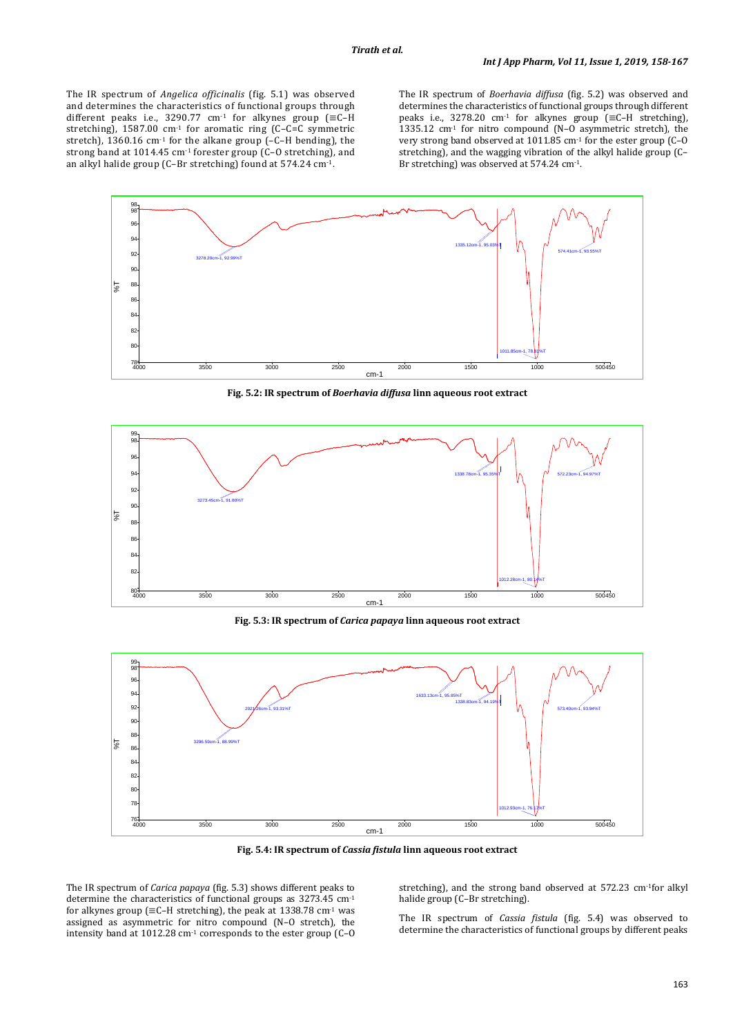The IR spectrum of *Angelica officinalis* (fig. 5.1) was observed and determines the characteristics of functional groups through different peaks i.e., 3290.77 cm<sup>-1</sup> for alkynes group ( $\equiv$ C-H stretching), 1587.00 cm-1 for aromatic ring (C–C=C symmetric stretch), 1360.16 cm<sup>-1</sup> for the alkane group (-C-H bending), the strong band at 1014.45 cm<sup>-1</sup> forester group (C-O stretching), and an alkyl halide group (C–Br stretching) found at 574.24 cm-1.

The IR spectrum of *Boerhavia diffusa* (fig. 5.2) was observed and determines the characteristics of functional groups through different peaks i.e., 3278.20 cm-1 for alkynes group (≡C–H stretching), 1335.12 cm-1 for nitro compound (N–O asymmetric stretch), the very strong band observed at 1011.85 cm-1 for the ester group (C–O stretching), and the wagging vibration of the alkyl halide group (C– Br stretching) was observed at 574.24 cm-1 .



**Fig. 5.2: IR spectrum of** *Boerhavia diffusa* **linn aqueous root extract**



**Fig. 5.3: IR spectrum of** *Carica papaya* **linn aqueous root extract**



**Fig. 5.4: IR spectrum of** *Cassia fistula* **linn aqueous root extract**

The IR spectrum of *Carica papaya* (fig. 5.3) shows different peaks to determine the characteristics of functional groups as 3273.45 cm-1 for alkynes group ( $\equiv$ C–H stretching), the peak at 1338.78 cm<sup>-1</sup> was assigned as asymmetric for nitro compound (N–O stretch), the intensity band at 1012.28 cm-1 corresponds to the ester group (C–O

stretching), and the strong band observed at 572.23 cm-1 for alkyl halide group (C–Br stretching).

The IR spectrum of *Cassia fistula* (fig. 5.4) was observed to determine the characteristics of functional groups by different peaks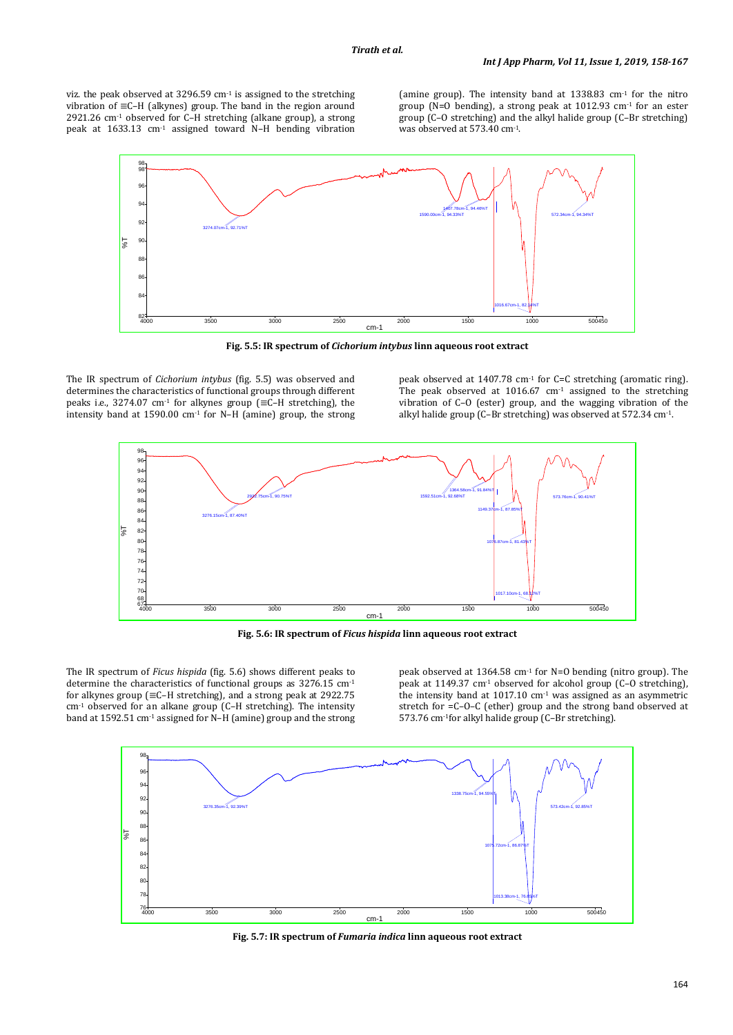viz. the peak observed at  $3296.59$  cm<sup>-1</sup> is assigned to the stretching vibration of ≡C–H (alkynes) group. The band in the region around 2921.26 cm<sup>-1</sup> observed for C–H stretching (alkane group), a strong peak at 1633.13 cm-1 assigned toward N–H bending vibration

(amine group). The intensity band at  $1338.83$  cm<sup>-1</sup> for the nitro group (N=O bending), a strong peak at 1012.93 cm-1 for an ester group (C–O stretching) and the alkyl halide group (C–Br stretching) was observed at 573.40 cm-1.



**Fig. 5.5: IR spectrum of** *Cichorium intybus* **linn aqueous root extract**

The IR spectrum of *Cichorium intybus* (fig. 5.5) was observed and determines the characteristics of functional groups through different peaks i.e., 3274.07 cm<sup>-1</sup> for alkynes group ( $\equiv$ C-H stretching), the intensity band at 1590.00 cm<sup>-1</sup> for N–H (amine) group, the strong

peak observed at 1407.78 cm<sup>-1</sup> for C=C stretching (aromatic ring). The peak observed at 1016.67 cm<sup>-1</sup> assigned to the stretching vibration of C–O (ester) group, and the wagging vibration of the alkyl halide group (C–Br stretching) was observed at 572.34 cm-1.



**Fig. 5.6: IR spectrum of** *Ficus hispida* **linn aqueous root extract**

The IR spectrum of *Ficus hispida* (fig. 5.6) shows different peaks to determine the characteristics of functional groups as 3276.15 cm-1 for alkynes group (≡C–H stretching), and a strong peak at 2922.75 cm-1 observed for an alkane group (C–H stretching). The intensity band at 1592.51 cm<sup>-1</sup> assigned for N-H (amine) group and the strong peak observed at 1364.58 cm<sup>-1</sup> for N=0 bending (nitro group). The peak at 1149.37 cm<sup>-1</sup> observed for alcohol group  $(C-0)$  stretching), the intensity band at 1017.10 cm-1 was assigned as an asymmetric stretch for =C–O–C (ether) group and the strong band observed at 573.76 cm-1for alkyl halide group (C–Br stretching).



**Fig. 5.7: IR spectrum of** *Fumaria indica* **linn aqueous root extract**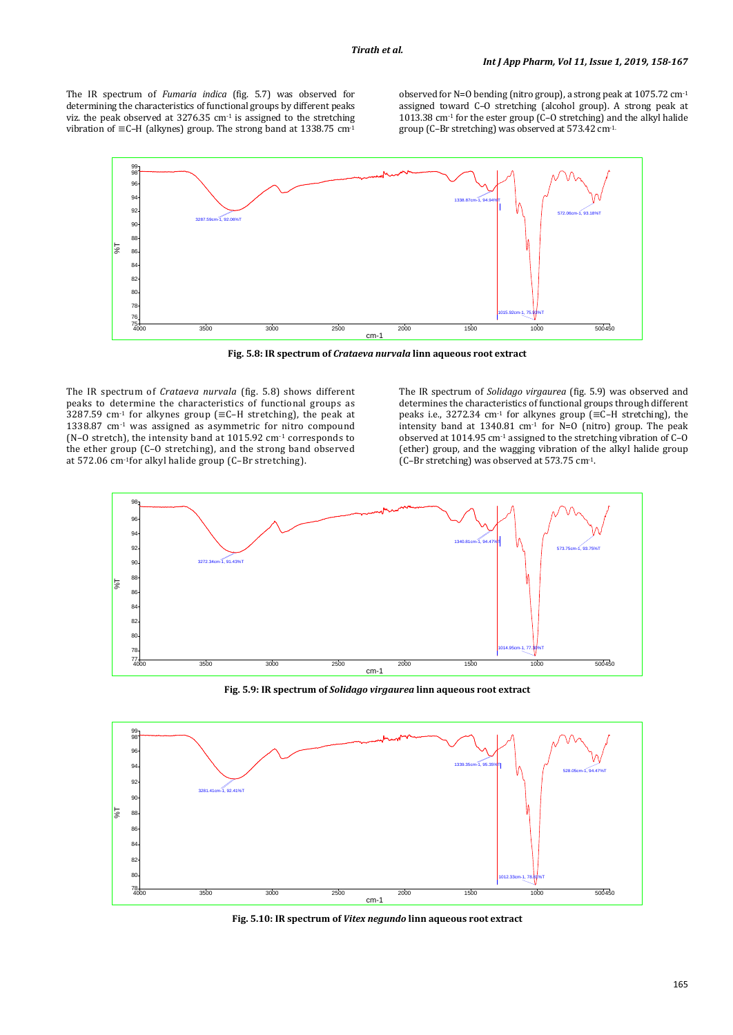The IR spectrum of *Fumaria indica* (fig. 5.7) was observed for determining the characteristics of functional groups by different peaks viz. the peak observed at  $3276.35$  cm<sup>-1</sup> is assigned to the stretching vibration of ≡C–H (alkynes) group. The strong band at 1338.75 cm-1

observed for N=O bending (nitro group), a strong peak at 1075.72 cm-1 assigned toward C–O stretching (alcohol group). A strong peak at  $1013.38$  cm<sup>-1</sup> for the ester group (C–O stretching) and the alkyl halide group (C–Br stretching) was observed at 573.42 cm-1.



**Fig. 5.8: IR spectrum of** *Crataeva nurvala* **linn aqueous root extract**

The IR spectrum of *Crataeva nurvala* (fig. 5.8) shows different peaks to determine the characteristics of functional groups as 3287.59 cm<sup>-1</sup> for alkynes group ( $\equiv$ C-H stretching), the peak at  $1338.87$  cm<sup>-1</sup> was assigned as asymmetric for nitro compound (N–O stretch), the intensity band at 1015.92 cm-1 corresponds to the ether group (C–O stretching), and the strong band observed at 572.06 cm-1 for alkyl halide group (C–Br stretching).

The IR spectrum of *Solidago virgaurea* (fig. 5.9) was observed and determines the characteristics of functional groups through different peaks i.e., 3272.34 cm -1 for alkynes group (≡C–H stretching), the intensity band at 1340.81 cm<sup>-1</sup> for  $N=0$  (nitro) group. The peak observed at 1014.95 cm-1 assigned to the stretching vibration of C–O (ether) group, and the wagging vibration of the alkyl halide group (C–Br stretching) was observed at 573.75 cm-1.



**Fig. 5.9: IR spectrum of** *Solidago virgaurea* **linn aqueous root extract**



**Fig. 5.10: IR spectrum of** *Vitex negundo* **linn aqueous root extract**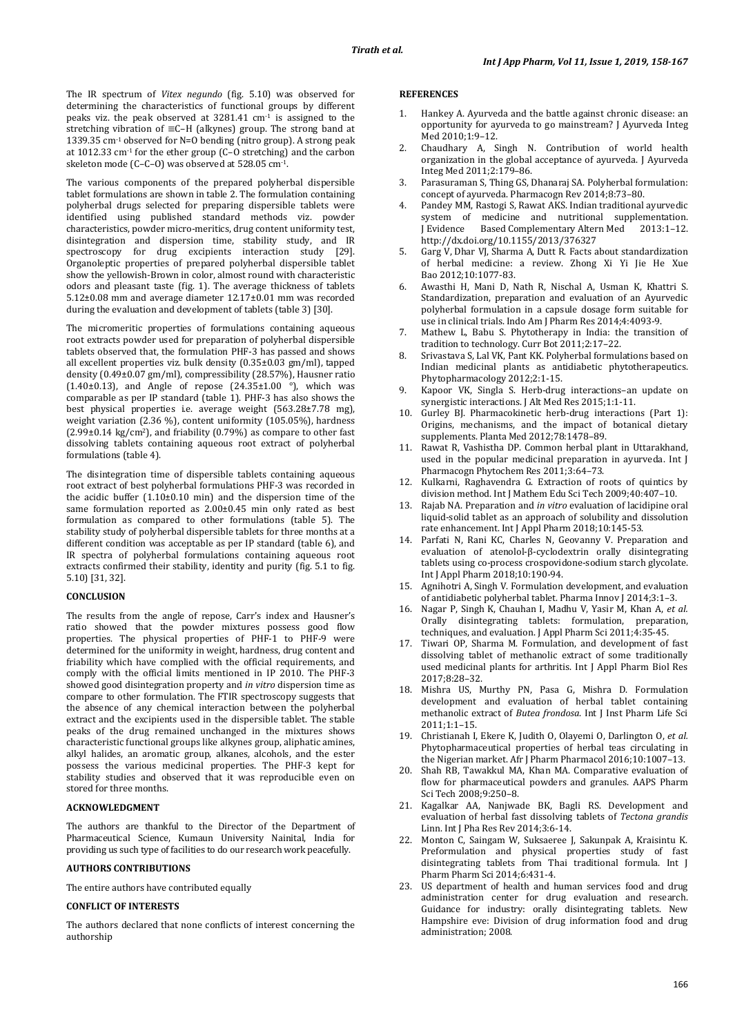The IR spectrum of *Vitex negundo* (fig. 5.10) was observed for determining the characteristics of functional groups by different peaks viz. the peak observed at 3281.41 cm-1 is assigned to the stretching vibration of ≡C–H (alkynes) group. The strong band at 1339.35 cm-1 observed for N=O bending (nitro group). A strong peak at 1012.33 cm-1 for the ether group (C–O stretching) and the carbon skeleton mode (C–C–O) was observed at 528.05 cm-1 .

The various components of the prepared polyherbal dispersible tablet formulations are shown in table 2. The formulation containing polyherbal drugs selected for preparing dispersible tablets were identified using published standard methods viz. powder characteristics, powder micro-meritics, drug content uniformity test, disintegration and dispersion time, stability study, and IR spectroscopy for drug excipients interaction study [29]. Organoleptic properties of prepared polyherbal dispersible tablet show the yellowish-Brown in color, almost round with characteristic odors and pleasant taste (fig. 1). The average thickness of tablets 5.12±0.08 mm and average diameter 12.17±0.01 mm was recorded during the evaluation and development of tablets (table 3) [30].

The micromeritic properties of formulations containing aqueous root extracts powder used for preparation of polyherbal dispersible tablets observed that, the formulation PHF-3 has passed and shows all excellent properties viz. bulk density (0.35±0.03 gm/ml), tapped density (0.49±0.07 gm/ml), compressibility (28.57%), Hausner ratio  $(1.40\pm0.13)$ , and Angle of repose  $(24.35\pm1.00)$ <sup>o</sup>), which was comparable as per IP standard (table 1). PHF-3 has also shows the best physical properties i.e. average weight (563.28±7.78 mg), weight variation (2.36 %), content uniformity (105.05%), hardness  $(2.99\pm0.14 \text{ kg/cm}^2)$ , and friability  $(0.79\%)$  as compare to other fast dissolving tablets containing aqueous root extract of polyherbal formulations (table 4).

The disintegration time of dispersible tablets containing aqueous root extract of best polyherbal formulations PHF-3 was recorded in the acidic buffer (1.10±0.10 min) and the dispersion time of the same formulation reported as 2.00±0.45 min only rated as best formulation as compared to other formulations (table 5). The stability study of polyherbal dispersible tablets for three months at a different condition was acceptable as per IP standard (table 6), and IR spectra of polyherbal formulations containing aqueous root extracts confirmed their stability, identity and purity (fig. 5.1 to fig. 5.10) [31, 32].

# **CONCLUSION**

The results from the angle of repose, Carr's index and Hausner's ratio showed that the powder mixtures possess good flow properties. The physical properties of PHF-1 to PHF-9 were determined for the uniformity in weight, hardness, drug content and friability which have complied with the official requirements, and comply with the official limits mentioned in IP 2010. The PHF-3 showed good disintegration property and *in vitro* dispersion time as compare to other formulation. The FTIR spectroscopy suggests that the absence of any chemical interaction between the polyherbal extract and the excipients used in the dispersible tablet. The stable peaks of the drug remained unchanged in the mixtures shows characteristic functional groups like alkynes group, aliphatic amines, alkyl halides, an aromatic group, alkanes, alcohols, and the ester possess the various medicinal properties. The PHF-3 kept for stability studies and observed that it was reproducible even on stored for three months.

### **ACKNOWLEDGMENT**

The authors are thankful to the Director of the Department of Pharmaceutical Science, Kumaun University Nainital, India for providing us such type of facilities to do our research work peacefully.

### **AUTHORS CONTRIBUTIONS**

The entire authors have contributed equally

# **CONFLICT OF INTERESTS**

The authors declared that none conflicts of interest concerning the authorship

### **REFERENCES**

- Hankey A. Ayurveda and the battle against chronic disease: an opportunity for ayurveda to go mainstream? J Ayurveda Integ Med 2010;1:9–12.
- 2. Chaudhary A, Singh N. Contribution of world health organization in the global acceptance of ayurveda. J Ayurveda Integ Med 2011;2:179–86.
- 3. Parasuraman S, Thing GS, Dhanaraj SA. Polyherbal formulation: concept of ayurveda. Pharmacogn Rev 2014;8:73–80.
- 4. Pandey MM, Rastogi S, Rawat AKS. Indian traditional ayurvedic system of medicine and nutritional supplementation.<br>
I Evidence Based Complementary Altern Med 2013:1-12. HIT ELETTER<br>Based Complementary Altern Med http://dx.doi.org/10.1155/2013/376327
- 5. Garg V, Dhar VJ, Sharma A, Dutt R. Facts about standardization of herbal medicine: a review. Zhong Xi Yi Jie He Xue Bao 2012;10:1077-83.
- 6. Awasthi H, Mani D, Nath R, Nischal A, Usman K, Khattri S. Standardization, preparation and evaluation of an Ayurvedic polyherbal formulation in a capsule dosage form suitable for use in clinical trials. Indo Am J Pharm Res 2014;4:4093-9.
- 7. Mathew L, Babu S. Phytotherapy in India: the transition of tradition to technology. Curr Bot 2011;2:17–22.
- 8. Srivastava S, Lal VK, Pant KK. Polyherbal formulations based on Indian medicinal plants as antidiabetic phytotherapeutics. Phytopharmacology 2012;2:1-15.
- 9. Kapoor VK, Singla S. Herb-drug interactions–an update on synergistic interactions. J Alt Med Res 2015;1:1-11.
- 10. Gurley BJ. Pharmacokinetic herb-drug interactions (Part 1): Origins, mechanisms, and the impact of botanical dietary supplements. Planta Med 2012;78:1478–89.
- Rawat R, Vashistha DP. Common herbal plant in Uttarakhand, used in the popular medicinal preparation in ayurveda. Int J Pharmacogn Phytochem Res 2011;3:64–73.
- 12. Kulkarni, Raghavendra G. Extraction of roots of quintics by division method. Int J Mathem Edu Sci Tech 2009;40:407–10.
- 13. Rajab NA. Preparation and *in vitro* evaluation of lacidipine oral liquid-solid tablet as an approach of solubility and dissolution rate enhancement. Int J Appl Pharm 2018;10:145-53.
- 14. Parfati N, Rani KC, Charles N, Geovanny V. Preparation and evaluation of atenolol-β-cyclodextrin orally disintegrating tablets using co-process crospovidone-sodium starch glycolate. Int J Appl Pharm 2018;10:190-94.
- Agnihotri A, Singh V. Formulation development, and evaluation of antidiabetic polyherbal tablet. Pharma Innov J 2014;3:1–3.
- 16. Nagar P, Singh K, Chauhan I, Madhu V, Yasir M, Khan A, *et al.* Orally disintegrating tablets: formulation, preparation, techniques, and evaluation. J Appl Pharm Sci 2011;4:35-45.
- 17. Tiwari OP, Sharma M. Formulation, and development of fast dissolving tablet of methanolic extract of some traditionally used medicinal plants for arthritis. Int J Appl Pharm Biol Res 2017;8:28–32.
- 18. Mishra US, Murthy PN, Pasa G, Mishra D. Formulation development and evaluation of herbal tablet containing methanolic extract of *Butea frondosa*. Int J Inst Pharm Life Sci 2011;1:1–15.
- 19. Christianah I, Ekere K, Judith O, Olayemi O, Darlington O, *et al.* Phytopharmaceutical properties of herbal teas circulating in the Nigerian market. Afr J Pharm Pharmacol 2016;10:1007–13.
- 20. Shah RB, Tawakkul MA, Khan MA. Comparative evaluation of flow for pharmaceutical powders and granules. AAPS Pharm Sci Tech 2008;9:250–8.
- 21. Kagalkar AA, Nanjwade BK, Bagli RS. Development and evaluation of herbal fast dissolving tablets of *Tectona grandis* Linn. Int J Pha Res Rev 2014;3:6-14.
- 22. Monton C, Saingam W, Suksaeree J, Sakunpak A, Kraisintu K. Preformulation and physical properties study of fast disintegrating tablets from Thai traditional formula. Int J Pharm Pharm Sci 2014;6:431-4.
- 23. US department of health and human services food and drug administration center for drug evaluation and research. Guidance for industry: orally disintegrating tablets. New Hampshire eve: Division of drug information food and drug administration; 2008.